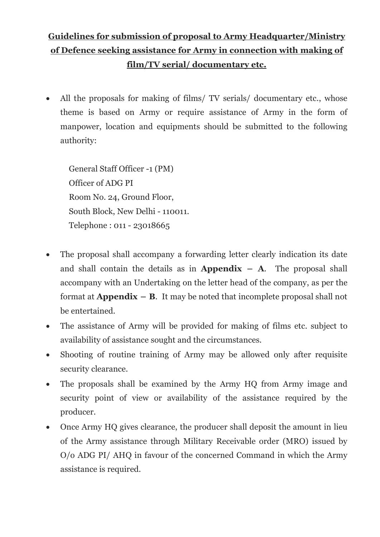# **Guidelines for submission of proposal to Army Headquarter/Ministry of Defence seeking assistance for Army in connection with making of film/TV serial/ documentary etc.**

All the proposals for making of films/ TV serials/ documentary etc., whose theme is based on Army or require assistance of Army in the form of manpower, location and equipments should be submitted to the following authority:

General Staff Officer -1 (PM) Officer of ADG PI Room No. 24, Ground Floor, South Block, New Delhi - 110011. Telephone : 011 - 23018665

- · The proposal shall accompany a forwarding letter clearly indication its date and shall contain the details as in **Appendix**  $-$  **A**. The proposal shall accompany with an Undertaking on the letter head of the company, as per the format at **Appendix – B**. It may be noted that incomplete proposal shall not be entertained.
- · The assistance of Army will be provided for making of films etc. subject to availability of assistance sought and the circumstances.
- Shooting of routine training of Army may be allowed only after requisite security clearance.
- · The proposals shall be examined by the Army HQ from Army image and security point of view or availability of the assistance required by the producer.
- Once Army HQ gives clearance, the producer shall deposit the amount in lieu of the Army assistance through Military Receivable order (MRO) issued by O/o ADG PI/ AHQ in favour of the concerned Command in which the Army assistance is required.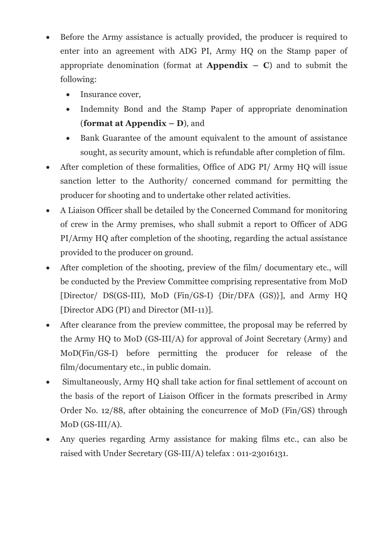- · Before the Army assistance is actually provided, the producer is required to enter into an agreement with ADG PI, Army HQ on the Stamp paper of appropriate denomination (format at **Appendix – C**) and to submit the following:
	- Insurance cover,
	- · Indemnity Bond and the Stamp Paper of appropriate denomination (**format at Appendix – D**), and
	- · Bank Guarantee of the amount equivalent to the amount of assistance sought, as security amount, which is refundable after completion of film.
- · After completion of these formalities, Office of ADG PI/ Army HQ will issue sanction letter to the Authority/ concerned command for permitting the producer for shooting and to undertake other related activities.
- · A Liaison Officer shall be detailed by the Concerned Command for monitoring of crew in the Army premises, who shall submit a report to Officer of ADG PI/Army HQ after completion of the shooting, regarding the actual assistance provided to the producer on ground.
- · After completion of the shooting, preview of the film/ documentary etc., will be conducted by the Preview Committee comprising representative from MoD [Director/ DS(GS-III), MoD (Fin/GS-I) {Dir/DFA (GS)}], and Army HQ [Director ADG (PI) and Director (MI-11)].
- · After clearance from the preview committee, the proposal may be referred by the Army HQ to MoD (GS-III/A) for approval of Joint Secretary (Army) and MoD(Fin/GS-I) before permitting the producer for release of the film/documentary etc., in public domain.
- · Simultaneously, Army HQ shall take action for final settlement of account on the basis of the report of Liaison Officer in the formats prescribed in Army Order No. 12/88, after obtaining the concurrence of MoD (Fin/GS) through MoD (GS-III/A).
- · Any queries regarding Army assistance for making films etc., can also be raised with Under Secretary (GS-III/A) telefax : 011-23016131.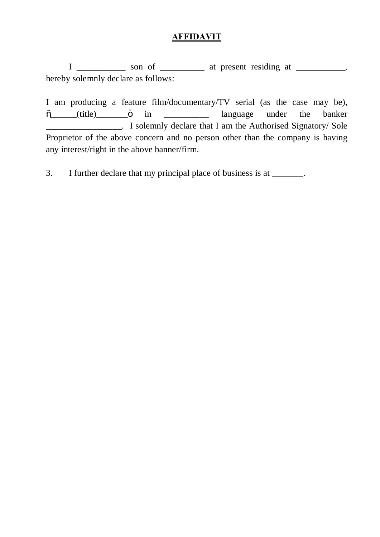## **AFFIDAVIT**

 $I$  \_\_\_\_\_\_\_\_\_\_ son of \_\_\_\_\_\_\_\_\_ at present residing at \_\_\_\_\_\_\_\_\_, hereby solemnly declare as follows:

I am producing a feature film/documentary/TV serial (as the case may be),  $\tilde{\sigma}$  (title)  $\tilde{\sigma}$  in  $\tilde{\sigma}$  in language under the banker **Example 2.1** Solemnly declare that I am the Authorised Signatory/ Sole Proprietor of the above concern and no person other than the company is having any interest/right in the above banner/firm.

3. I further declare that my principal place of business is at \_\_\_\_\_\_\_.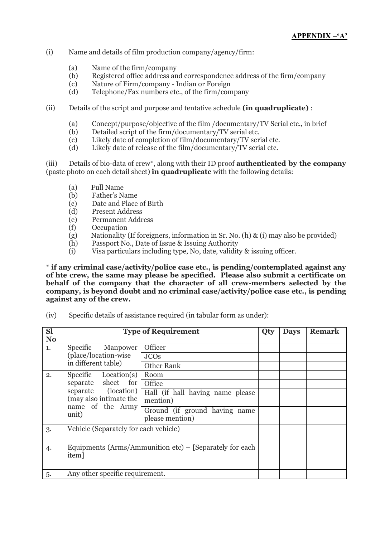- (i) Name and details of film production company/agency/firm:
	- (a) Name of the firm/company
	- (b) Registered office address and correspondence address of the firm/company
	- (c) Nature of Firm/company Indian or Foreign
	- (d) Telephone/Fax numbers etc., of the firm/company
- (ii) Details of the script and purpose and tentative schedule **(in quadruplicate)** :
	- (a) Concept/purpose/objective of the film /documentary/TV Serial etc., in brief
	- (b) Detailed script of the firm/documentary/TV serial etc.
	- (c) Likely date of completion of film/documentary/TV serial etc.
	- (d) Likely date of release of the film/documentary/TV serial etc.

(iii) Details of bio-data of crew\*, along with their ID proof **authenticated by the company** (paste photo on each detail sheet) **in quadruplicate** with the following details:

- (a) Full Name
- (b) Father's Name
- (c) Date and Place of Birth
- (d) Present Address
- (e) Permanent Address
- (f) Occupation
- (g) Nationality (If foreigners, information in Sr. No. (h) & (i) may also be provided)
- (h) Passport No., Date of Issue & Issuing Authority
- (i) Visa particulars including type, No, date, validity & issuing officer.

\* **if any criminal case/activity/police case etc., is pending/contemplated against any of hte crew, the same may please be specified. Please also submit a certificate on behalf of the company that the character of all crew-members selected by the company, is beyond doubt and no criminal case/activity/police case etc., is pending against any of the crew.**

(iv) Specific details of assistance required (in tabular form as under):

| <b>Sl</b><br>N <sub>o</sub> | <b>Type of Requirement</b>                                                                                                  |                                                                                                  | Qty | <b>Days</b> | <b>Remark</b> |
|-----------------------------|-----------------------------------------------------------------------------------------------------------------------------|--------------------------------------------------------------------------------------------------|-----|-------------|---------------|
| 1.                          | Specific Manpower<br>(place/location-wise)<br>in different table)                                                           | Officer<br><b>JCOs</b><br>Other Rank                                                             |     |             |               |
| 2.                          | Specific<br>Location(s)<br>separate sheet for<br>separate (location)<br>(may also intimate the<br>name of the Army<br>unit) | Room<br>Office<br>Hall (if hall having name please)<br>mention)<br>Ground (if ground having name |     |             |               |
| 3.                          | please mention)<br>Vehicle (Separately for each vehicle)                                                                    |                                                                                                  |     |             |               |
| 4.                          | Equipments (Arms/Ammunition etc) $-$ [Separately for each<br>item]                                                          |                                                                                                  |     |             |               |
| 5.                          | Any other specific requirement.                                                                                             |                                                                                                  |     |             |               |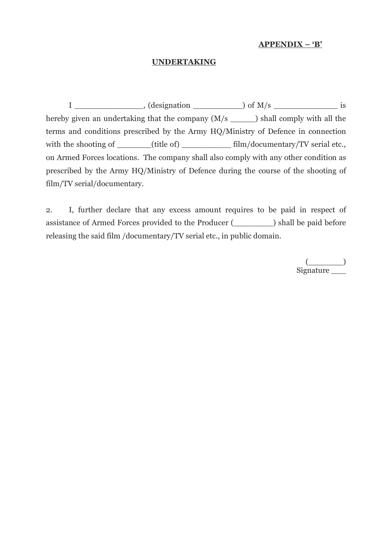#### **APPENDIX – 'B'**

#### **UNDERTAKING**

 $I \longrightarrow$ , (designation  $\longrightarrow$ ) of M/s  $\longrightarrow$  is hereby given an undertaking that the company  $(M/s \t)$  shall comply with all the terms and conditions prescribed by the Army HQ/Ministry of Defence in connection with the shooting of \_\_\_\_\_\_(title of) \_\_\_\_\_\_\_\_\_\_ film/documentary/TV serial etc., on Armed Forces locations. The company shall also comply with any other condition as prescribed by the Army HQ/Ministry of Defence during the course of the shooting of film/TV serial/documentary.

2. I, further declare that any excess amount requires to be paid in respect of assistance of Armed Forces provided to the Producer (\_\_\_\_\_\_\_\_) shall be paid before releasing the said film /documentary/TV serial etc., in public domain.

> $(\_\_$ Signature \_\_\_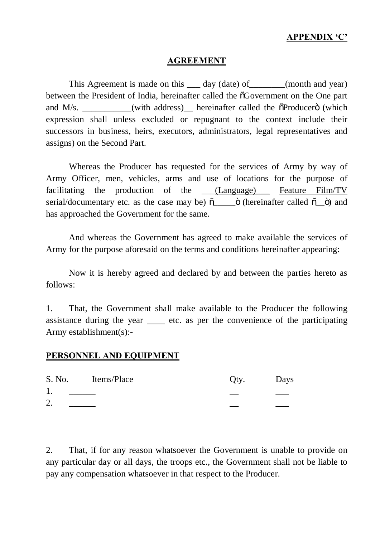### **APPENDIX 'C'**

#### **AGREEMENT**

This Agreement is made on this \_\_\_\_ day (date) of \_\_\_\_\_\_\_(month and year) between the President of India, hereinafter called the  $\delta$ Government on the One part and  $M/s$ .  $\qquad \qquad$  (with address) hereinafter called the  $\ddot{\text{o}}$ Producer $\ddot{\text{o}}$  (which expression shall unless excluded or repugnant to the context include their successors in business, heirs, executors, administrators, legal representatives and assigns) on the Second Part.

Whereas the Producer has requested for the services of Army by way of Army Officer, men, vehicles, arms and use of locations for the purpose of facilitating the production of the (Language) Feature Film/TV serial/documentary etc. as the case may be) "\_\_\_\_\_" (hereinafter called "\_\_") and has approached the Government for the same.

And whereas the Government has agreed to make available the services of Army for the purpose aforesaid on the terms and conditions hereinafter appearing:

Now it is hereby agreed and declared by and between the parties hereto as follows:

1. That, the Government shall make available to the Producer the following assistance during the year \_\_\_\_ etc. as per the convenience of the participating Army establishment(s):-

### **PERSONNEL AND EQUIPMENT**

| S. No. | Items/Place | Qty. | Days |
|--------|-------------|------|------|
| Ι.     |             |      |      |
| 2.     |             |      |      |
|        |             |      |      |

2. That, if for any reason whatsoever the Government is unable to provide on any particular day or all days, the troops etc., the Government shall not be liable to pay any compensation whatsoever in that respect to the Producer.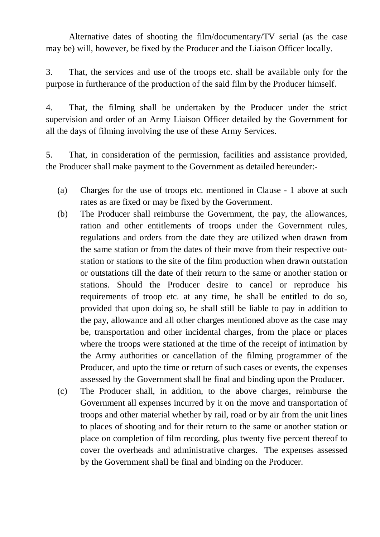Alternative dates of shooting the film/documentary/TV serial (as the case may be) will, however, be fixed by the Producer and the Liaison Officer locally.

3. That, the services and use of the troops etc. shall be available only for the purpose in furtherance of the production of the said film by the Producer himself.

4. That, the filming shall be undertaken by the Producer under the strict supervision and order of an Army Liaison Officer detailed by the Government for all the days of filming involving the use of these Army Services.

5. That, in consideration of the permission, facilities and assistance provided, the Producer shall make payment to the Government as detailed hereunder:-

- (a) Charges for the use of troops etc. mentioned in Clause 1 above at such rates as are fixed or may be fixed by the Government.
- (b) The Producer shall reimburse the Government, the pay, the allowances, ration and other entitlements of troops under the Government rules, regulations and orders from the date they are utilized when drawn from the same station or from the dates of their move from their respective outstation or stations to the site of the film production when drawn outstation or outstations till the date of their return to the same or another station or stations. Should the Producer desire to cancel or reproduce his requirements of troop etc. at any time, he shall be entitled to do so, provided that upon doing so, he shall still be liable to pay in addition to the pay, allowance and all other charges mentioned above as the case may be, transportation and other incidental charges, from the place or places where the troops were stationed at the time of the receipt of intimation by the Army authorities or cancellation of the filming programmer of the Producer, and upto the time or return of such cases or events, the expenses assessed by the Government shall be final and binding upon the Producer.
- (c) The Producer shall, in addition, to the above charges, reimburse the Government all expenses incurred by it on the move and transportation of troops and other material whether by rail, road or by air from the unit lines to places of shooting and for their return to the same or another station or place on completion of film recording, plus twenty five percent thereof to cover the overheads and administrative charges. The expenses assessed by the Government shall be final and binding on the Producer.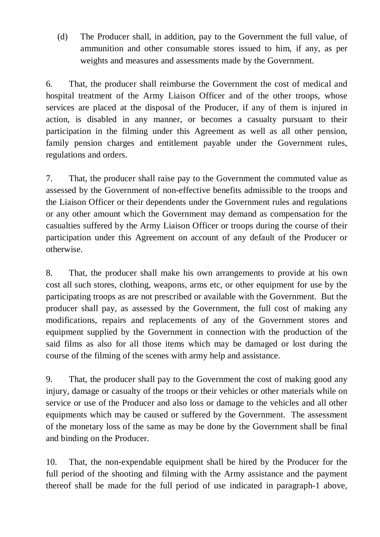(d) The Producer shall, in addition, pay to the Government the full value, of ammunition and other consumable stores issued to him, if any, as per weights and measures and assessments made by the Government.

6. That, the producer shall reimburse the Government the cost of medical and hospital treatment of the Army Liaison Officer and of the other troops, whose services are placed at the disposal of the Producer, if any of them is injured in action, is disabled in any manner, or becomes a casualty pursuant to their participation in the filming under this Agreement as well as all other pension, family pension charges and entitlement payable under the Government rules, regulations and orders.

7. That, the producer shall raise pay to the Government the commuted value as assessed by the Government of non-effective benefits admissible to the troops and the Liaison Officer or their dependents under the Government rules and regulations or any other amount which the Government may demand as compensation for the casualties suffered by the Army Liaison Officer or troops during the course of their participation under this Agreement on account of any default of the Producer or otherwise.

8. That, the producer shall make his own arrangements to provide at his own cost all such stores, clothing, weapons, arms etc, or other equipment for use by the participating troops as are not prescribed or available with the Government. But the producer shall pay, as assessed by the Government, the full cost of making any modifications, repairs and replacements of any of the Government stores and equipment supplied by the Government in connection with the production of the said films as also for all those items which may be damaged or lost during the course of the filming of the scenes with army help and assistance.

9. That, the producer shall pay to the Government the cost of making good any injury, damage or casualty of the troops or their vehicles or other materials while on service or use of the Producer and also loss or damage to the vehicles and all other equipments which may be caused or suffered by the Government. The assessment of the monetary loss of the same as may be done by the Government shall be final and binding on the Producer.

10. That, the non-expendable equipment shall be hired by the Producer for the full period of the shooting and filming with the Army assistance and the payment thereof shall be made for the full period of use indicated in paragraph-1 above,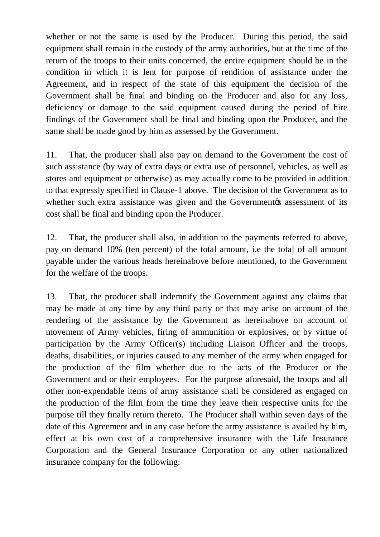whether or not the same is used by the Producer. During this period, the said equipment shall remain in the custody of the army authorities, but at the time of the return of the troops to their units concerned, the entire equipment should be in the condition in which it is lent for purpose of rendition of assistance under the Agreement, and in respect of the state of this equipment the decision of the Government shall be final and binding on the Producer and also for any loss, deficiency or damage to the said equipment caused during the period of hire findings of the Government shall be final and binding upon the Producer, and the same shall be made good by him as assessed by the Government.

11. That, the producer shall also pay on demand to the Government the cost of such assistance (by way of extra days or extra use of personnel, vehicles, as well as stores and equipment or otherwise) as may actually come to be provided in addition to that expressly specified in Clause-1 above. The decision of the Government as to whether such extra assistance was given and the Government to assessment of its cost shall be final and binding upon the Producer.

12. That, the producer shall also, in addition to the payments referred to above, pay on demand 10% (ten percent) of the total amount, i.e the total of all amount payable under the various heads hereinabove before mentioned, to the Government for the welfare of the troops.

13. That, the producer shall indemnify the Government against any claims that may be made at any time by any third party or that may arise on account of the rendering of the assistance by the Government as hereinabove on account of movement of Army vehicles, firing of ammunition or explosives, or by virtue of participation by the Army Officer(s) including Liaison Officer and the troops, deaths, disabilities, or injuries caused to any member of the army when engaged for the production of the film whether due to the acts of the Producer or the Government and or their employees. For the purpose aforesaid, the troops and all other non-expendable items of army assistance shall be considered as engaged on the production of the film from the time they leave their respective units for the purpose till they finally return thereto. The Producer shall within seven days of the date of this Agreement and in any case before the army assistance is availed by him, effect at his own cost of a comprehensive insurance with the Life Insurance Corporation and the General Insurance Corporation or any other nationalized insurance company for the following: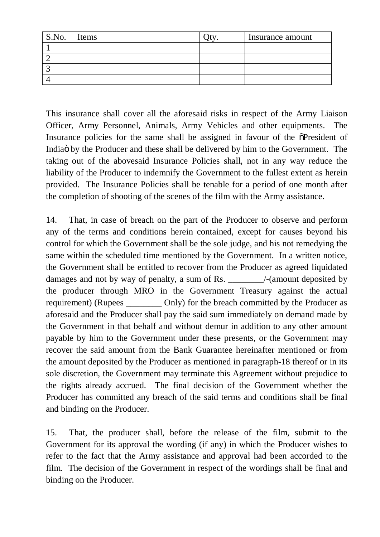| S.No. | Items | Insurance amount |
|-------|-------|------------------|
|       |       |                  |
|       |       |                  |
|       |       |                  |
|       |       |                  |

This insurance shall cover all the aforesaid risks in respect of the Army Liaison Officer, Army Personnel, Animals, Army Vehicles and other equipments. The Insurance policies for the same shall be assigned in favour of the  $\tilde{\text{o}}$ President of India by the Producer and these shall be delivered by him to the Government. The taking out of the abovesaid Insurance Policies shall, not in any way reduce the liability of the Producer to indemnify the Government to the fullest extent as herein provided. The Insurance Policies shall be tenable for a period of one month after the completion of shooting of the scenes of the film with the Army assistance.

14. That, in case of breach on the part of the Producer to observe and perform any of the terms and conditions herein contained, except for causes beyond his control for which the Government shall be the sole judge, and his not remedying the same within the scheduled time mentioned by the Government. In a written notice, the Government shall be entitled to recover from the Producer as agreed liquidated damages and not by way of penalty, a sum of Rs.  $\frac{1}{2}$  /-(amount deposited by the producer through MRO in the Government Treasury against the actual requirement) (Rupees \_\_\_\_\_\_\_\_ Only) for the breach committed by the Producer as aforesaid and the Producer shall pay the said sum immediately on demand made by the Government in that behalf and without demur in addition to any other amount payable by him to the Government under these presents, or the Government may recover the said amount from the Bank Guarantee hereinafter mentioned or from the amount deposited by the Producer as mentioned in paragraph-18 thereof or in its sole discretion, the Government may terminate this Agreement without prejudice to the rights already accrued. The final decision of the Government whether the Producer has committed any breach of the said terms and conditions shall be final and binding on the Producer.

15. That, the producer shall, before the release of the film, submit to the Government for its approval the wording (if any) in which the Producer wishes to refer to the fact that the Army assistance and approval had been accorded to the film. The decision of the Government in respect of the wordings shall be final and binding on the Producer.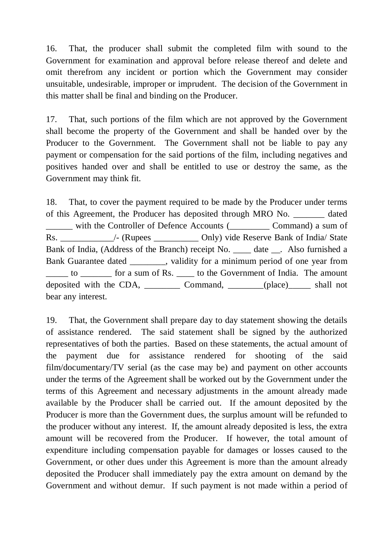16. That, the producer shall submit the completed film with sound to the Government for examination and approval before release thereof and delete and omit therefrom any incident or portion which the Government may consider unsuitable, undesirable, improper or imprudent. The decision of the Government in this matter shall be final and binding on the Producer.

17. That, such portions of the film which are not approved by the Government shall become the property of the Government and shall be handed over by the Producer to the Government. The Government shall not be liable to pay any payment or compensation for the said portions of the film, including negatives and positives handed over and shall be entitled to use or destroy the same, as the Government may think fit.

18. That, to cover the payment required to be made by the Producer under terms of this Agreement, the Producer has deposited through MRO No.  $\qquad \qquad$  dated \_\_\_\_\_\_ with the Controller of Defence Accounts (\_\_\_\_\_\_\_\_\_ Command) a sum of Rs. \_\_\_\_\_\_\_\_\_\_\_\_\_\_\_\_/- (Rupees \_\_\_\_\_\_\_\_\_\_\_\_ Only) vide Reserve Bank of India/ State Bank of India, (Address of the Branch) receipt No. \_\_\_\_ date \_\_\_. Also furnished a Bank Guarantee dated states, validity for a minimum period of one year from \_\_\_\_\_ to \_\_\_\_\_\_\_ for a sum of Rs. \_\_\_\_ to the Government of India. The amount deposited with the CDA, \_\_\_\_\_\_\_\_\_\_\_ Command, \_\_\_\_\_\_\_(place)\_\_\_\_\_\_ shall not bear any interest.

19. That, the Government shall prepare day to day statement showing the details of assistance rendered. The said statement shall be signed by the authorized representatives of both the parties. Based on these statements, the actual amount of the payment due for assistance rendered for shooting of the said film/documentary/TV serial (as the case may be) and payment on other accounts under the terms of the Agreement shall be worked out by the Government under the terms of this Agreement and necessary adjustments in the amount already made available by the Producer shall be carried out. If the amount deposited by the Producer is more than the Government dues, the surplus amount will be refunded to the producer without any interest. If, the amount already deposited is less, the extra amount will be recovered from the Producer. If however, the total amount of expenditure including compensation payable for damages or losses caused to the Government, or other dues under this Agreement is more than the amount already deposited the Producer shall immediately pay the extra amount on demand by the Government and without demur. If such payment is not made within a period of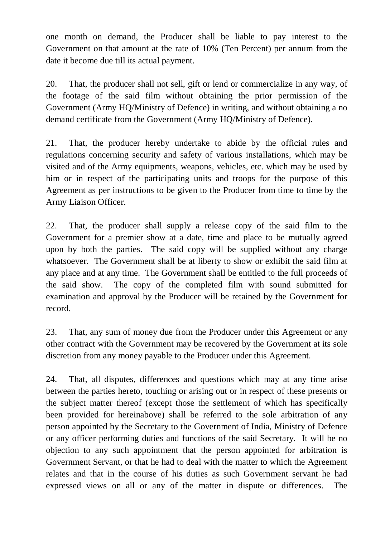one month on demand, the Producer shall be liable to pay interest to the Government on that amount at the rate of 10% (Ten Percent) per annum from the date it become due till its actual payment.

20. That, the producer shall not sell, gift or lend or commercialize in any way, of the footage of the said film without obtaining the prior permission of the Government (Army HQ/Ministry of Defence) in writing, and without obtaining a no demand certificate from the Government (Army HQ/Ministry of Defence).

21. That, the producer hereby undertake to abide by the official rules and regulations concerning security and safety of various installations, which may be visited and of the Army equipments, weapons, vehicles, etc. which may be used by him or in respect of the participating units and troops for the purpose of this Agreement as per instructions to be given to the Producer from time to time by the Army Liaison Officer.

22. That, the producer shall supply a release copy of the said film to the Government for a premier show at a date, time and place to be mutually agreed upon by both the parties. The said copy will be supplied without any charge whatsoever. The Government shall be at liberty to show or exhibit the said film at any place and at any time. The Government shall be entitled to the full proceeds of the said show. The copy of the completed film with sound submitted for examination and approval by the Producer will be retained by the Government for record.

23. That, any sum of money due from the Producer under this Agreement or any other contract with the Government may be recovered by the Government at its sole discretion from any money payable to the Producer under this Agreement.

24. That, all disputes, differences and questions which may at any time arise between the parties hereto, touching or arising out or in respect of these presents or the subject matter thereof (except those the settlement of which has specifically been provided for hereinabove) shall be referred to the sole arbitration of any person appointed by the Secretary to the Government of India, Ministry of Defence or any officer performing duties and functions of the said Secretary. It will be no objection to any such appointment that the person appointed for arbitration is Government Servant, or that he had to deal with the matter to which the Agreement relates and that in the course of his duties as such Government servant he had expressed views on all or any of the matter in dispute or differences. The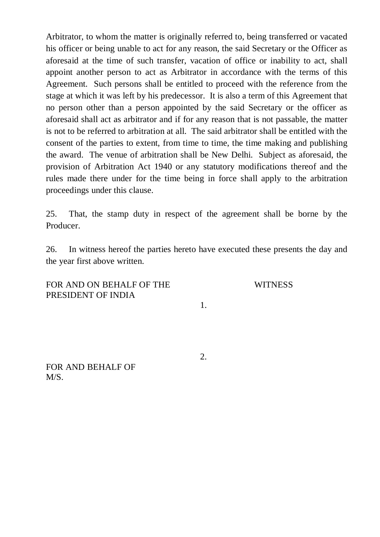Arbitrator, to whom the matter is originally referred to, being transferred or vacated his officer or being unable to act for any reason, the said Secretary or the Officer as aforesaid at the time of such transfer, vacation of office or inability to act, shall appoint another person to act as Arbitrator in accordance with the terms of this Agreement. Such persons shall be entitled to proceed with the reference from the stage at which it was left by his predecessor. It is also a term of this Agreement that no person other than a person appointed by the said Secretary or the officer as aforesaid shall act as arbitrator and if for any reason that is not passable, the matter is not to be referred to arbitration at all. The said arbitrator shall be entitled with the consent of the parties to extent, from time to time, the time making and publishing the award. The venue of arbitration shall be New Delhi. Subject as aforesaid, the provision of Arbitration Act 1940 or any statutory modifications thereof and the rules made there under for the time being in force shall apply to the arbitration proceedings under this clause.

25. That, the stamp duty in respect of the agreement shall be borne by the Producer.

26. In witness hereof the parties hereto have executed these presents the day and the year first above written.

FOR AND ON BEHALF OF THE PRESIDENT OF INDIA

**WITNESS** 

1.

2.

FOR AND BEHALF OF M/S.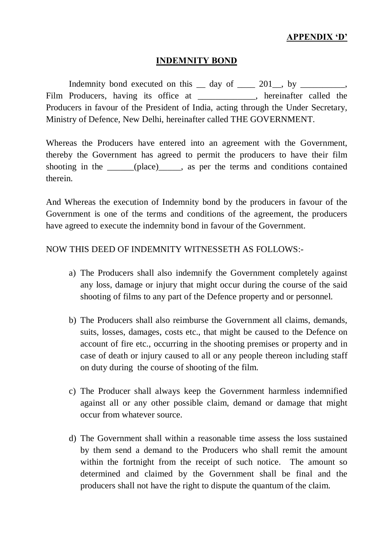### **APPENDIX 'D'**

### **INDEMNITY BOND**

Indemnity bond executed on this  $\_\_$  day of  $\_\_$  201 $\_\_$ , by  $\_\_$ Film Producers, having its office at , hereinafter called the Producers in favour of the President of India, acting through the Under Secretary, Ministry of Defence, New Delhi, hereinafter called THE GOVERNMENT.

Whereas the Producers have entered into an agreement with the Government, thereby the Government has agreed to permit the producers to have their film shooting in the \_\_\_\_\_\_(place)\_\_\_\_\_, as per the terms and conditions contained therein.

And Whereas the execution of Indemnity bond by the producers in favour of the Government is one of the terms and conditions of the agreement, the producers have agreed to execute the indemnity bond in favour of the Government.

### NOW THIS DEED OF INDEMNITY WITNESSETH AS FOLLOWS:-

- a) The Producers shall also indemnify the Government completely against any loss, damage or injury that might occur during the course of the said shooting of films to any part of the Defence property and or personnel.
- b) The Producers shall also reimburse the Government all claims, demands, suits, losses, damages, costs etc., that might be caused to the Defence on account of fire etc., occurring in the shooting premises or property and in case of death or injury caused to all or any people thereon including staff on duty during the course of shooting of the film.
- c) The Producer shall always keep the Government harmless indemnified against all or any other possible claim, demand or damage that might occur from whatever source.
- d) The Government shall within a reasonable time assess the loss sustained by them send a demand to the Producers who shall remit the amount within the fortnight from the receipt of such notice. The amount so determined and claimed by the Government shall be final and the producers shall not have the right to dispute the quantum of the claim.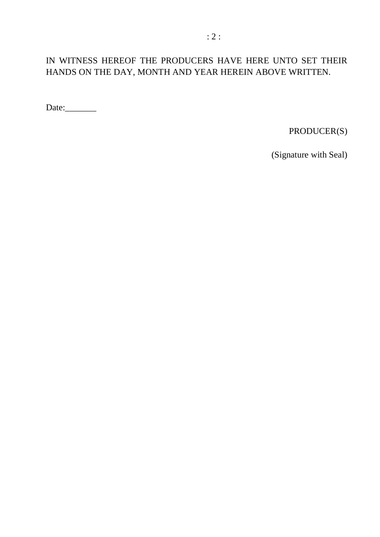# IN WITNESS HEREOF THE PRODUCERS HAVE HERE UNTO SET THEIR HANDS ON THE DAY, MONTH AND YEAR HEREIN ABOVE WRITTEN.

Date:\_\_\_\_\_\_\_

PRODUCER(S)

(Signature with Seal)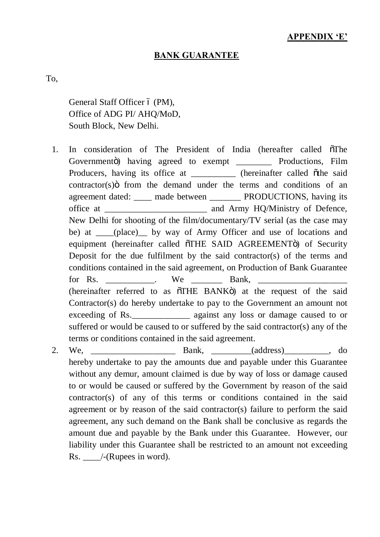### **APPENDIX 'E'**

#### **BANK GUARANTEE**

To,

General Staff Officer 6 (PM), Office of ADG PI/ AHQ/MoD, South Block, New Delhi.

- 1. In consideration of The President of India (hereafter called  $\tilde{\sigma}$ The Governmentö) having agreed to exempt \_\_\_\_\_\_\_\_\_ Productions, Film Producers, having its office at \_\_\_\_\_\_\_\_\_\_\_ (hereinafter called  $\tilde{o}$ the said  $contractor(s)$  from the demand under the terms and conditions of an agreement dated: \_\_\_\_ made between \_\_\_\_\_\_\_ PRODUCTIONS, having its office at \_\_\_\_\_\_\_\_\_\_\_\_\_\_\_\_\_\_\_\_\_\_\_ and Army HQ/Ministry of Defence, New Delhi for shooting of the film/documentary/TV serial (as the case may be) at \_\_\_\_(place) by way of Army Officer and use of locations and equipment (hereinafter called  $\tilde{o}$ THE SAID AGREEMENT $\tilde{o}$ ) of Security Deposit for the due fulfilment by the said contractor(s) of the terms and conditions contained in the said agreement, on Production of Bank Guarantee for Rs.  $\qquad \qquad$  We Bank, (hereinafter referred to as  $\tilde{\sigma}$ THE BANK $\tilde{\sigma}$ ) at the request of the said Contractor(s) do hereby undertake to pay to the Government an amount not exceeding of Rs.  $\qquad \qquad$  against any loss or damage caused to or suffered or would be caused to or suffered by the said contractor(s) any of the terms or conditions contained in the said agreement.
- 2. We, \_\_\_\_\_\_\_\_\_\_\_\_\_\_\_\_\_\_\_ Bank, \_\_\_\_\_\_\_\_\_(address)\_\_\_\_\_\_\_\_\_\_, do hereby undertake to pay the amounts due and payable under this Guarantee without any demur, amount claimed is due by way of loss or damage caused to or would be caused or suffered by the Government by reason of the said contractor(s) of any of this terms or conditions contained in the said agreement or by reason of the said contractor(s) failure to perform the said agreement, any such demand on the Bank shall be conclusive as regards the amount due and payable by the Bank under this Guarantee. However, our liability under this Guarantee shall be restricted to an amount not exceeding Rs. /-(Rupees in word).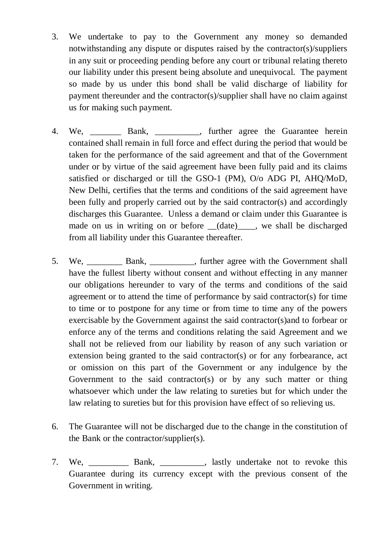- 3. We undertake to pay to the Government any money so demanded notwithstanding any dispute or disputes raised by the contractor(s)/suppliers in any suit or proceeding pending before any court or tribunal relating thereto our liability under this present being absolute and unequivocal. The payment so made by us under this bond shall be valid discharge of liability for payment thereunder and the contractor(s)/supplier shall have no claim against us for making such payment.
- 4. We, \_\_\_\_\_\_\_ Bank, \_\_\_\_\_\_\_\_\_\_, further agree the Guarantee herein contained shall remain in full force and effect during the period that would be taken for the performance of the said agreement and that of the Government under or by virtue of the said agreement have been fully paid and its claims satisfied or discharged or till the GSO-1 (PM), O/o ADG PI, AHQ/MoD, New Delhi, certifies that the terms and conditions of the said agreement have been fully and properly carried out by the said contractor(s) and accordingly discharges this Guarantee. Unless a demand or claim under this Guarantee is made on us in writing on or before \_\_(date)\_\_\_\_, we shall be discharged from all liability under this Guarantee thereafter.
- 5. We, Bank, Bank, further agree with the Government shall have the fullest liberty without consent and without effecting in any manner our obligations hereunder to vary of the terms and conditions of the said agreement or to attend the time of performance by said contractor(s) for time to time or to postpone for any time or from time to time any of the powers exercisable by the Government against the said contractor(s)and to forbear or enforce any of the terms and conditions relating the said Agreement and we shall not be relieved from our liability by reason of any such variation or extension being granted to the said contractor(s) or for any forbearance, act or omission on this part of the Government or any indulgence by the Government to the said contractor(s) or by any such matter or thing whatsoever which under the law relating to sureties but for which under the law relating to sureties but for this provision have effect of so relieving us.
- 6. The Guarantee will not be discharged due to the change in the constitution of the Bank or the contractor/supplier(s).
- 7. We, \_\_\_\_\_\_\_\_\_ Bank, \_\_\_\_\_\_\_\_\_\_, lastly undertake not to revoke this Guarantee during its currency except with the previous consent of the Government in writing.